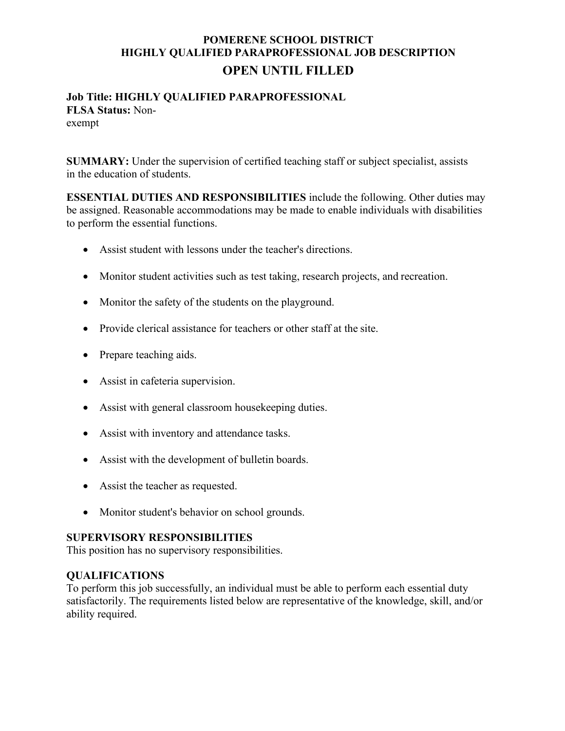## **POMERENE SCHOOL DISTRICT HIGHLY QUALIFIED PARAPROFESSIONAL JOB DESCRIPTION OPEN UNTIL FILLED**

# **Job Title: HIGHLY QUALIFIED PARAPROFESSIONAL FLSA Status:** Non-

exempt

**SUMMARY:** Under the supervision of certified teaching staff or subject specialist, assists in the education of students.

**ESSENTIAL DUTIES AND RESPONSIBILITIES** include the following. Other duties may be assigned. Reasonable accommodations may be made to enable individuals with disabilities to perform the essential functions.

- Assist student with lessons under the teacher's directions.
- Monitor student activities such as test taking, research projects, and recreation.
- Monitor the safety of the students on the playground.
- Provide clerical assistance for teachers or other staff at the site.
- Prepare teaching aids.
- Assist in cafeteria supervision.
- Assist with general classroom house keeping duties.
- Assist with inventory and attendance tasks.
- Assist with the development of bulletin boards.
- Assist the teacher as requested.
- Monitor student's behavior on school grounds.

#### **SUPERVISORY RESPONSIBILITIES**

This position has no supervisory responsibilities.

#### **QUALIFICATIONS**

To perform this job successfully, an individual must be able to perform each essential duty satisfactorily. The requirements listed below are representative of the knowledge, skill, and/or ability required.